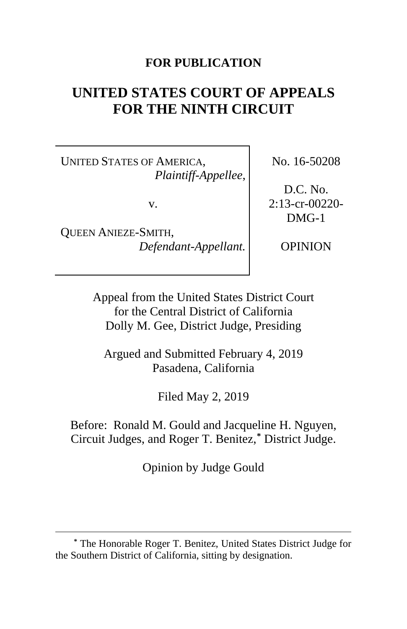# **FOR PUBLICATION**

# **UNITED STATES COURT OF APPEALS FOR THE NINTH CIRCUIT**

UNITED STATES OF AMERICA, *Plaintiff-Appellee*,

v.

QUEEN ANIEZE-SMITH, *Defendant-Appellant.* No. 16-50208

D.C. No. 2:13-cr-00220- DMG-1

OPINION

Appeal from the United States District Court for the Central District of California Dolly M. Gee, District Judge, Presiding

Argued and Submitted February 4, 2019 Pasadena, California

Filed May 2, 2019

Before: Ronald M. Gould and Jacqueline H. Nguyen, Circuit Judges, and Roger T. Benitez,**[\\*](#page-0-0)** District Judge.

Opinion by Judge Gould

<span id="page-0-0"></span>**<sup>\*</sup>** The Honorable Roger T. Benitez, United States District Judge for the Southern District of California, sitting by designation.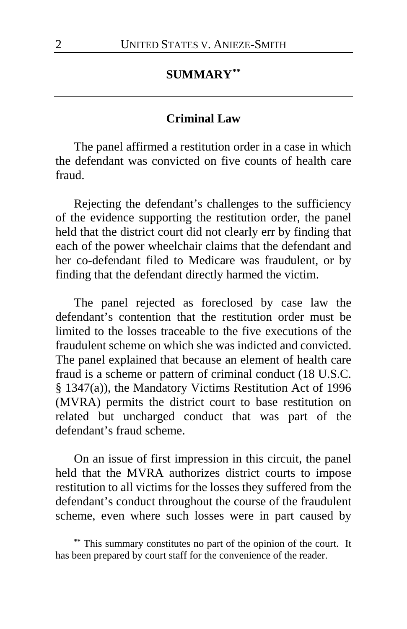### **SUMMARY[\\*\\*](#page-1-0)**

### **Criminal Law**

The panel affirmed a restitution order in a case in which the defendant was convicted on five counts of health care fraud.

Rejecting the defendant's challenges to the sufficiency of the evidence supporting the restitution order, the panel held that the district court did not clearly err by finding that each of the power wheelchair claims that the defendant and her co-defendant filed to Medicare was fraudulent, or by finding that the defendant directly harmed the victim.

The panel rejected as foreclosed by case law the defendant's contention that the restitution order must be limited to the losses traceable to the five executions of the fraudulent scheme on which she was indicted and convicted. The panel explained that because an element of health care fraud is a scheme or pattern of criminal conduct (18 U.S.C. § 1347(a)), the Mandatory Victims Restitution Act of 1996 (MVRA) permits the district court to base restitution on related but uncharged conduct that was part of the defendant's fraud scheme.

On an issue of first impression in this circuit, the panel held that the MVRA authorizes district courts to impose restitution to all victims for the losses they suffered from the defendant's conduct throughout the course of the fraudulent scheme, even where such losses were in part caused by

<span id="page-1-0"></span>**<sup>\*\*</sup>** This summary constitutes no part of the opinion of the court. It has been prepared by court staff for the convenience of the reader.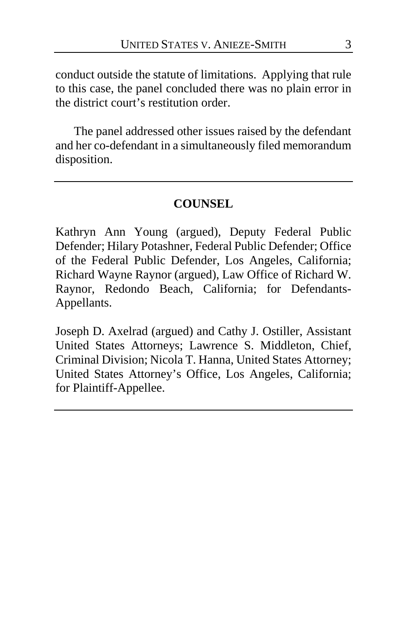conduct outside the statute of limitations. Applying that rule to this case, the panel concluded there was no plain error in the district court's restitution order.

The panel addressed other issues raised by the defendant and her co-defendant in a simultaneously filed memorandum disposition.

## **COUNSEL**

Kathryn Ann Young (argued), Deputy Federal Public Defender; Hilary Potashner, Federal Public Defender; Office of the Federal Public Defender, Los Angeles, California; Richard Wayne Raynor (argued), Law Office of Richard W. Raynor, Redondo Beach, California; for Defendants-Appellants.

Joseph D. Axelrad (argued) and Cathy J. Ostiller, Assistant United States Attorneys; Lawrence S. Middleton, Chief, Criminal Division; Nicola T. Hanna, United States Attorney; United States Attorney's Office, Los Angeles, California; for Plaintiff-Appellee.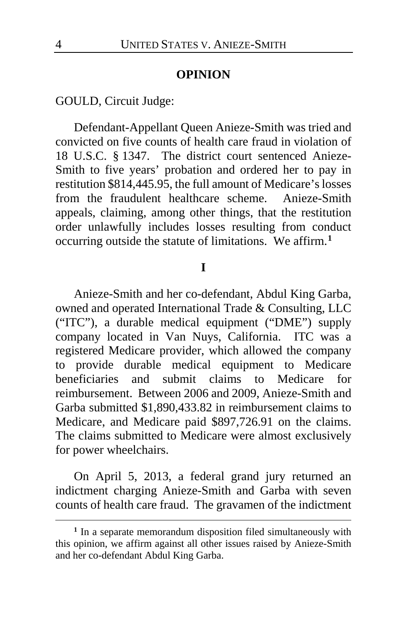#### **OPINION**

# GOULD, Circuit Judge:

Defendant-Appellant Queen Anieze-Smith was tried and convicted on five counts of health care fraud in violation of 18 U.S.C. § 1347. The district court sentenced Anieze-Smith to five years' probation and ordered her to pay in restitution \$814,445.95, the full amount of Medicare's losses from the fraudulent healthcare scheme. Anieze-Smith appeals, claiming, among other things, that the restitution order unlawfully includes losses resulting from conduct occurring outside the statute of limitations. We affirm.**[1](#page-3-0)**

#### **I**

Anieze-Smith and her co-defendant, Abdul King Garba, owned and operated International Trade & Consulting, LLC ("ITC"), a durable medical equipment ("DME") supply company located in Van Nuys, California. ITC was a registered Medicare provider, which allowed the company to provide durable medical equipment to Medicare beneficiaries and submit claims to Medicare for reimbursement. Between 2006 and 2009, Anieze-Smith and Garba submitted \$1,890,433.82 in reimbursement claims to Medicare, and Medicare paid \$897,726.91 on the claims. The claims submitted to Medicare were almost exclusively for power wheelchairs.

On April 5, 2013, a federal grand jury returned an indictment charging Anieze-Smith and Garba with seven counts of health care fraud. The gravamen of the indictment

<span id="page-3-0"></span>**<sup>1</sup>** In a separate memorandum disposition filed simultaneously with this opinion, we affirm against all other issues raised by Anieze-Smith and her co-defendant Abdul King Garba.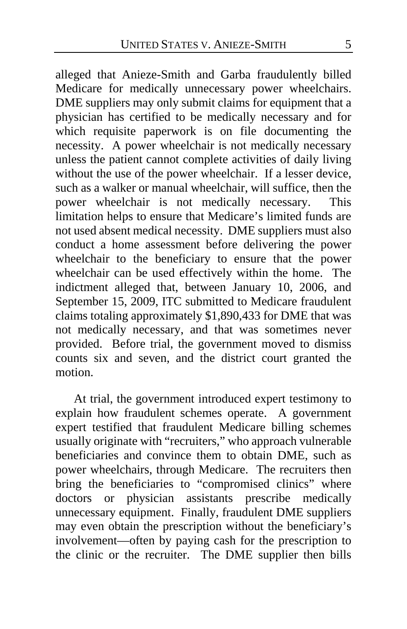alleged that Anieze-Smith and Garba fraudulently billed Medicare for medically unnecessary power wheelchairs. DME suppliers may only submit claims for equipment that a physician has certified to be medically necessary and for which requisite paperwork is on file documenting the necessity. A power wheelchair is not medically necessary unless the patient cannot complete activities of daily living without the use of the power wheelchair. If a lesser device, such as a walker or manual wheelchair, will suffice, then the power wheelchair is not medically necessary. This limitation helps to ensure that Medicare's limited funds are not used absent medical necessity. DME suppliers must also conduct a home assessment before delivering the power wheelchair to the beneficiary to ensure that the power wheelchair can be used effectively within the home. The indictment alleged that, between January 10, 2006, and September 15, 2009, ITC submitted to Medicare fraudulent claims totaling approximately \$1,890,433 for DME that was not medically necessary, and that was sometimes never provided. Before trial, the government moved to dismiss counts six and seven, and the district court granted the motion.

At trial, the government introduced expert testimony to explain how fraudulent schemes operate. A government expert testified that fraudulent Medicare billing schemes usually originate with "recruiters," who approach vulnerable beneficiaries and convince them to obtain DME, such as power wheelchairs, through Medicare. The recruiters then bring the beneficiaries to "compromised clinics" where doctors or physician assistants prescribe medically unnecessary equipment. Finally, fraudulent DME suppliers may even obtain the prescription without the beneficiary's involvement—often by paying cash for the prescription to the clinic or the recruiter. The DME supplier then bills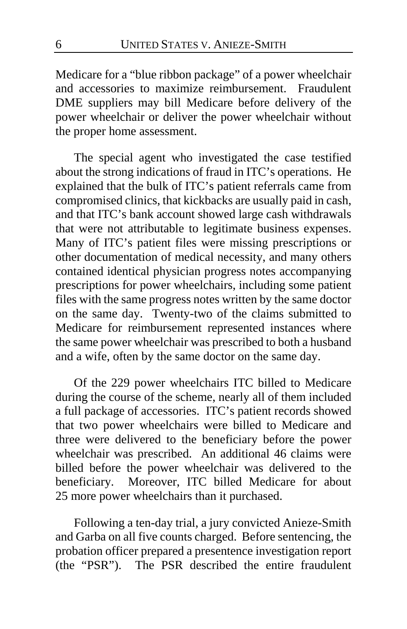Medicare for a "blue ribbon package" of a power wheelchair and accessories to maximize reimbursement. Fraudulent DME suppliers may bill Medicare before delivery of the power wheelchair or deliver the power wheelchair without the proper home assessment.

The special agent who investigated the case testified about the strong indications of fraud in ITC's operations. He explained that the bulk of ITC's patient referrals came from compromised clinics, that kickbacks are usually paid in cash, and that ITC's bank account showed large cash withdrawals that were not attributable to legitimate business expenses. Many of ITC's patient files were missing prescriptions or other documentation of medical necessity, and many others contained identical physician progress notes accompanying prescriptions for power wheelchairs, including some patient files with the same progress notes written by the same doctor on the same day. Twenty-two of the claims submitted to Medicare for reimbursement represented instances where the same power wheelchair was prescribed to both a husband and a wife, often by the same doctor on the same day.

Of the 229 power wheelchairs ITC billed to Medicare during the course of the scheme, nearly all of them included a full package of accessories. ITC's patient records showed that two power wheelchairs were billed to Medicare and three were delivered to the beneficiary before the power wheelchair was prescribed. An additional 46 claims were billed before the power wheelchair was delivered to the beneficiary. Moreover, ITC billed Medicare for about 25 more power wheelchairs than it purchased.

Following a ten-day trial, a jury convicted Anieze-Smith and Garba on all five counts charged. Before sentencing, the probation officer prepared a presentence investigation report (the "PSR"). The PSR described the entire fraudulent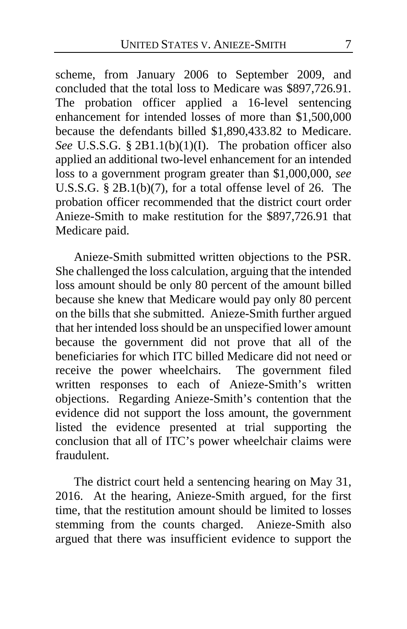scheme, from January 2006 to September 2009, and concluded that the total loss to Medicare was \$897,726.91. The probation officer applied a 16-level sentencing enhancement for intended losses of more than \$1,500,000 because the defendants billed \$1,890,433.82 to Medicare. *See* U.S.S.G. § 2B1.1(b)(1)(I).The probation officer also applied an additional two-level enhancement for an intended loss to a government program greater than \$1,000,000, *see*  U.S.S.G. § 2B.1(b)(7), for a total offense level of 26. The probation officer recommended that the district court order Anieze-Smith to make restitution for the \$897,726.91 that Medicare paid.

Anieze-Smith submitted written objections to the PSR. She challenged the loss calculation, arguing that the intended loss amount should be only 80 percent of the amount billed because she knew that Medicare would pay only 80 percent on the bills that she submitted. Anieze-Smith further argued that her intended loss should be an unspecified lower amount because the government did not prove that all of the beneficiaries for which ITC billed Medicare did not need or receive the power wheelchairs. The government filed written responses to each of Anieze-Smith's written objections. Regarding Anieze-Smith's contention that the evidence did not support the loss amount, the government listed the evidence presented at trial supporting the conclusion that all of ITC's power wheelchair claims were fraudulent.

The district court held a sentencing hearing on May 31, 2016. At the hearing, Anieze-Smith argued, for the first time, that the restitution amount should be limited to losses stemming from the counts charged. Anieze-Smith also argued that there was insufficient evidence to support the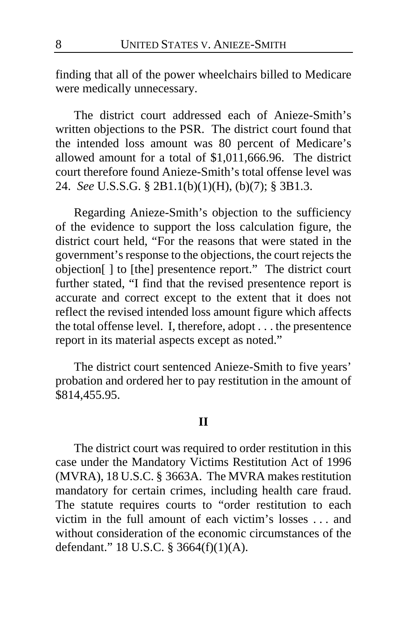finding that all of the power wheelchairs billed to Medicare were medically unnecessary.

The district court addressed each of Anieze-Smith's written objections to the PSR. The district court found that the intended loss amount was 80 percent of Medicare's allowed amount for a total of \$1,011,666.96. The district court therefore found Anieze-Smith's total offense level was 24. *See* U.S.S.G. § 2B1.1(b)(1)(H), (b)(7); § 3B1.3.

Regarding Anieze-Smith's objection to the sufficiency of the evidence to support the loss calculation figure, the district court held, "For the reasons that were stated in the government's response to the objections, the court rejects the objection[ ] to [the] presentence report." The district court further stated, "I find that the revised presentence report is accurate and correct except to the extent that it does not reflect the revised intended loss amount figure which affects the total offense level. I, therefore, adopt . . . the presentence report in its material aspects except as noted."

The district court sentenced Anieze-Smith to five years' probation and ordered her to pay restitution in the amount of \$814,455.95.

#### **II**

The district court was required to order restitution in this case under the Mandatory Victims Restitution Act of 1996 (MVRA), 18 U.S.C. § 3663A. The MVRA makes restitution mandatory for certain crimes, including health care fraud. The statute requires courts to "order restitution to each victim in the full amount of each victim's losses . . . and without consideration of the economic circumstances of the defendant." 18 U.S.C. § 3664(f)(1)(A).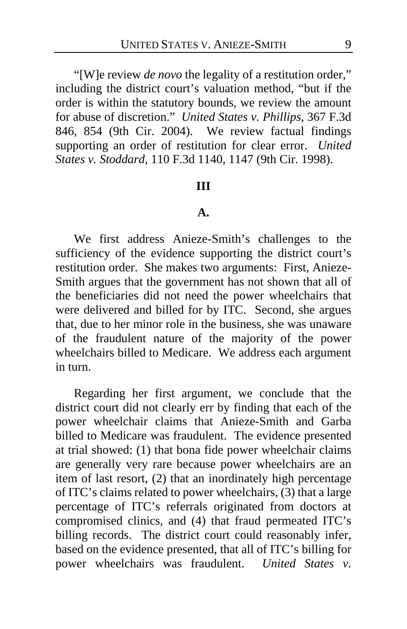"[W]e review *de novo* the legality of a restitution order," including the district court's valuation method, "but if the order is within the statutory bounds, we review the amount for abuse of discretion." *United States v. Phillips*, 367 F.3d 846, 854 (9th Cir. 2004). We review factual findings supporting an order of restitution for clear error. *United States v. Stoddard*, 110 F.3d 1140, 1147 (9th Cir. 1998).

#### **III**

# **A.**

We first address Anieze-Smith's challenges to the sufficiency of the evidence supporting the district court's restitution order. She makes two arguments: First, Anieze-Smith argues that the government has not shown that all of the beneficiaries did not need the power wheelchairs that were delivered and billed for by ITC. Second, she argues that, due to her minor role in the business, she was unaware of the fraudulent nature of the majority of the power wheelchairs billed to Medicare. We address each argument in turn.

Regarding her first argument, we conclude that the district court did not clearly err by finding that each of the power wheelchair claims that Anieze-Smith and Garba billed to Medicare was fraudulent. The evidence presented at trial showed: (1) that bona fide power wheelchair claims are generally very rare because power wheelchairs are an item of last resort, (2) that an inordinately high percentage of ITC's claims related to power wheelchairs, (3) that a large percentage of ITC's referrals originated from doctors at compromised clinics, and (4) that fraud permeated ITC's billing records. The district court could reasonably infer, based on the evidence presented, that all of ITC's billing for power wheelchairs was fraudulent. *United States v.*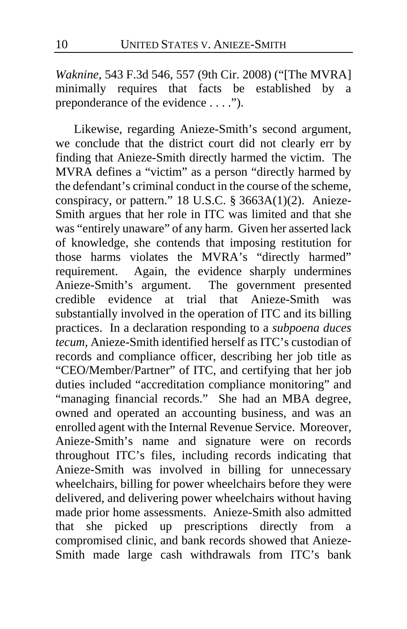*Waknine*, 543 F.3d 546, 557 (9th Cir. 2008) ("[The MVRA] minimally requires that facts be established by a preponderance of the evidence . . . .").

Likewise, regarding Anieze-Smith's second argument, we conclude that the district court did not clearly err by finding that Anieze-Smith directly harmed the victim. The MVRA defines a "victim" as a person "directly harmed by the defendant's criminal conduct in the course of the scheme, conspiracy, or pattern." 18 U.S.C. § 3663A(1)(2). Anieze-Smith argues that her role in ITC was limited and that she was "entirely unaware" of any harm. Given her asserted lack of knowledge, she contends that imposing restitution for those harms violates the MVRA's "directly harmed" requirement. Again, the evidence sharply undermines Anieze-Smith's argument. The government presented credible evidence at trial that Anieze-Smith was substantially involved in the operation of ITC and its billing practices. In a declaration responding to a *subpoena duces tecum*, Anieze-Smith identified herself as ITC's custodian of records and compliance officer, describing her job title as "CEO/Member/Partner" of ITC, and certifying that her job duties included "accreditation compliance monitoring" and "managing financial records." She had an MBA degree, owned and operated an accounting business, and was an enrolled agent with the Internal Revenue Service. Moreover, Anieze-Smith's name and signature were on records throughout ITC's files, including records indicating that Anieze-Smith was involved in billing for unnecessary wheelchairs, billing for power wheelchairs before they were delivered, and delivering power wheelchairs without having made prior home assessments. Anieze-Smith also admitted that she picked up prescriptions directly from a compromised clinic, and bank records showed that Anieze-Smith made large cash withdrawals from ITC's bank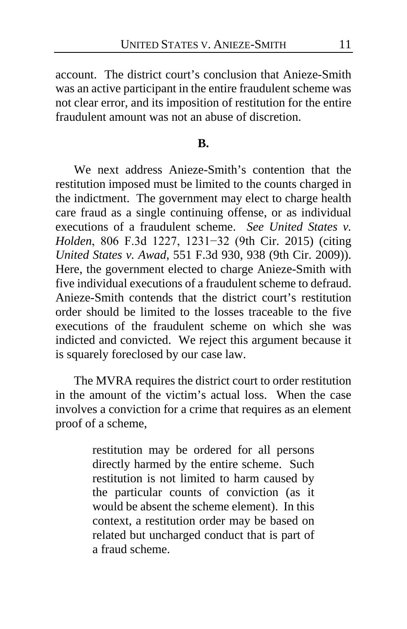account. The district court's conclusion that Anieze-Smith was an active participant in the entire fraudulent scheme was not clear error, and its imposition of restitution for the entire fraudulent amount was not an abuse of discretion.

#### **B.**

We next address Anieze-Smith's contention that the restitution imposed must be limited to the counts charged in the indictment. The government may elect to charge health care fraud as a single continuing offense, or as individual executions of a fraudulent scheme. *See United States v. Holden*, 806 F.3d 1227, 1231−32 (9th Cir. 2015) (citing *United States v. Awad*, 551 F.3d 930, 938 (9th Cir. 2009)). Here, the government elected to charge Anieze-Smith with five individual executions of a fraudulent scheme to defraud. Anieze-Smith contends that the district court's restitution order should be limited to the losses traceable to the five executions of the fraudulent scheme on which she was indicted and convicted. We reject this argument because it is squarely foreclosed by our case law.

The MVRA requires the district court to order restitution in the amount of the victim's actual loss. When the case involves a conviction for a crime that requires as an element proof of a scheme,

> restitution may be ordered for all persons directly harmed by the entire scheme. Such restitution is not limited to harm caused by the particular counts of conviction (as it would be absent the scheme element). In this context, a restitution order may be based on related but uncharged conduct that is part of a fraud scheme.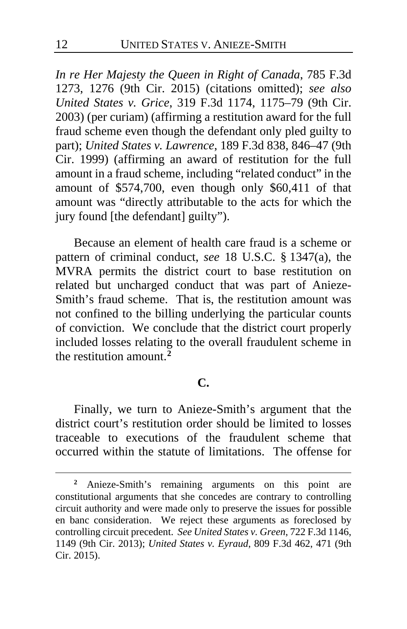*In re Her Majesty the Queen in Right of Canada*, 785 F.3d 1273, 1276 (9th Cir. 2015) (citations omitted); *see also United States v. Grice*, 319 F.3d 1174, 1175–79 (9th Cir. 2003) (per curiam) (affirming a restitution award for the full fraud scheme even though the defendant only pled guilty to part); *United States v. Lawrence*, 189 F.3d 838, 846–47 (9th Cir. 1999) (affirming an award of restitution for the full amount in a fraud scheme, including "related conduct" in the amount of \$574,700, even though only \$60,411 of that amount was "directly attributable to the acts for which the jury found [the defendant] guilty").

Because an element of health care fraud is a scheme or pattern of criminal conduct, *see* 18 U.S.C. § 1347(a), the MVRA permits the district court to base restitution on related but uncharged conduct that was part of Anieze-Smith's fraud scheme. That is, the restitution amount was not confined to the billing underlying the particular counts of conviction. We conclude that the district court properly included losses relating to the overall fraudulent scheme in the restitution amount.**[2](#page-11-0)**

### **C.**

Finally, we turn to Anieze-Smith's argument that the district court's restitution order should be limited to losses traceable to executions of the fraudulent scheme that occurred within the statute of limitations. The offense for

<span id="page-11-0"></span>**<sup>2</sup>** Anieze-Smith's remaining arguments on this point are constitutional arguments that she concedes are contrary to controlling circuit authority and were made only to preserve the issues for possible en banc consideration. We reject these arguments as foreclosed by controlling circuit precedent. *See United States v. Green*, 722 F.3d 1146, 1149 (9th Cir. 2013); *United States v. Eyraud*, 809 F.3d 462, 471 (9th Cir. 2015).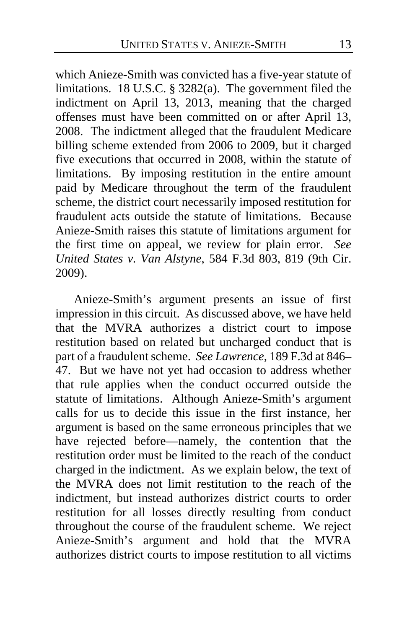which Anieze-Smith was convicted has a five-year statute of limitations. 18 U.S.C. § 3282(a). The government filed the indictment on April 13, 2013, meaning that the charged offenses must have been committed on or after April 13, 2008. The indictment alleged that the fraudulent Medicare billing scheme extended from 2006 to 2009, but it charged five executions that occurred in 2008, within the statute of limitations. By imposing restitution in the entire amount paid by Medicare throughout the term of the fraudulent scheme, the district court necessarily imposed restitution for fraudulent acts outside the statute of limitations. Because Anieze-Smith raises this statute of limitations argument for the first time on appeal, we review for plain error. *See United States v. Van Alstyne*, 584 F.3d 803, 819 (9th Cir. 2009).

Anieze-Smith's argument presents an issue of first impression in this circuit. As discussed above, we have held that the MVRA authorizes a district court to impose restitution based on related but uncharged conduct that is part of a fraudulent scheme. *See Lawrence*, 189 F.3d at 846– 47. But we have not yet had occasion to address whether that rule applies when the conduct occurred outside the statute of limitations. Although Anieze-Smith's argument calls for us to decide this issue in the first instance, her argument is based on the same erroneous principles that we have rejected before—namely, the contention that the restitution order must be limited to the reach of the conduct charged in the indictment. As we explain below, the text of the MVRA does not limit restitution to the reach of the indictment, but instead authorizes district courts to order restitution for all losses directly resulting from conduct throughout the course of the fraudulent scheme. We reject Anieze-Smith's argument and hold that the MVRA authorizes district courts to impose restitution to all victims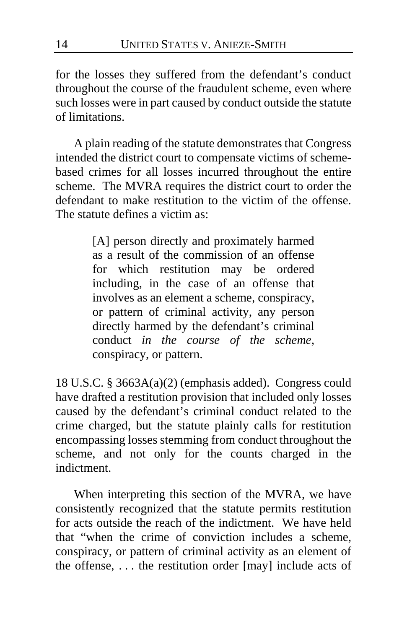for the losses they suffered from the defendant's conduct throughout the course of the fraudulent scheme, even where such losses were in part caused by conduct outside the statute of limitations.

A plain reading of the statute demonstrates that Congress intended the district court to compensate victims of schemebased crimes for all losses incurred throughout the entire scheme. The MVRA requires the district court to order the defendant to make restitution to the victim of the offense. The statute defines a victim as:

> [A] person directly and proximately harmed as a result of the commission of an offense for which restitution may be ordered including, in the case of an offense that involves as an element a scheme, conspiracy, or pattern of criminal activity, any person directly harmed by the defendant's criminal conduct *in the course of the scheme*, conspiracy, or pattern.

18 U.S.C. § 3663A(a)(2) (emphasis added). Congress could have drafted a restitution provision that included only losses caused by the defendant's criminal conduct related to the crime charged, but the statute plainly calls for restitution encompassing losses stemming from conduct throughout the scheme, and not only for the counts charged in the indictment.

When interpreting this section of the MVRA, we have consistently recognized that the statute permits restitution for acts outside the reach of the indictment. We have held that "when the crime of conviction includes a scheme, conspiracy, or pattern of criminal activity as an element of the offense, . . . the restitution order [may] include acts of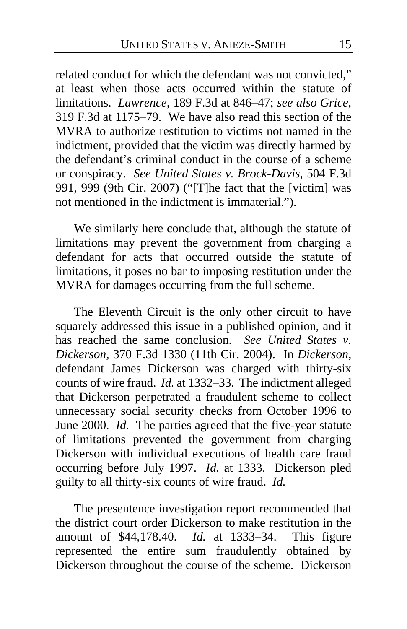related conduct for which the defendant was not convicted," at least when those acts occurred within the statute of limitations. *Lawrence*, 189 F.3d at 846–47; *see also Grice*, 319 F.3d at 1175–79. We have also read this section of the MVRA to authorize restitution to victims not named in the indictment, provided that the victim was directly harmed by the defendant's criminal conduct in the course of a scheme or conspiracy. *See United States v. Brock-Davis*, 504 F.3d 991, 999 (9th Cir. 2007) ("[T]he fact that the [victim] was not mentioned in the indictment is immaterial.").

We similarly here conclude that, although the statute of limitations may prevent the government from charging a defendant for acts that occurred outside the statute of limitations, it poses no bar to imposing restitution under the MVRA for damages occurring from the full scheme.

The Eleventh Circuit is the only other circuit to have squarely addressed this issue in a published opinion, and it has reached the same conclusion. *See United States v. Dickerson*, 370 F.3d 1330 (11th Cir. 2004). In *Dickerson*, defendant James Dickerson was charged with thirty-six counts of wire fraud. *Id.* at 1332–33. The indictment alleged that Dickerson perpetrated a fraudulent scheme to collect unnecessary social security checks from October 1996 to June 2000. *Id.* The parties agreed that the five-year statute of limitations prevented the government from charging Dickerson with individual executions of health care fraud occurring before July 1997. *Id.* at 1333. Dickerson pled guilty to all thirty-six counts of wire fraud. *Id.*

The presentence investigation report recommended that the district court order Dickerson to make restitution in the amount of \$44,178.40. *Id.* at 1333–34. This figure represented the entire sum fraudulently obtained by Dickerson throughout the course of the scheme. Dickerson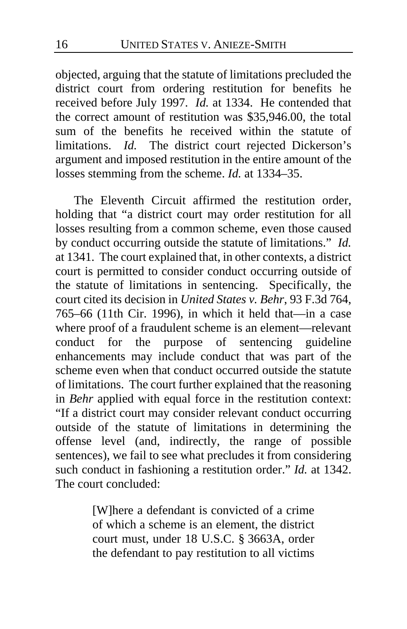objected, arguing that the statute of limitations precluded the district court from ordering restitution for benefits he received before July 1997. *Id.* at 1334. He contended that the correct amount of restitution was \$35,946.00, the total sum of the benefits he received within the statute of limitations. *Id.* The district court rejected Dickerson's argument and imposed restitution in the entire amount of the losses stemming from the scheme. *Id.* at 1334–35.

The Eleventh Circuit affirmed the restitution order, holding that "a district court may order restitution for all losses resulting from a common scheme, even those caused by conduct occurring outside the statute of limitations." *Id.*  at 1341. The court explained that, in other contexts, a district court is permitted to consider conduct occurring outside of the statute of limitations in sentencing. Specifically, the court cited its decision in *United States v. Behr*, 93 F.3d 764, 765–66 (11th Cir. 1996), in which it held that—in a case where proof of a fraudulent scheme is an element—relevant conduct for the purpose of sentencing guideline enhancements may include conduct that was part of the scheme even when that conduct occurred outside the statute of limitations. The court further explained that the reasoning in *Behr* applied with equal force in the restitution context: "If a district court may consider relevant conduct occurring outside of the statute of limitations in determining the offense level (and, indirectly, the range of possible sentences), we fail to see what precludes it from considering such conduct in fashioning a restitution order." *Id.* at 1342. The court concluded:

> [W]here a defendant is convicted of a crime of which a scheme is an element, the district court must, under 18 U.S.C. § 3663A, order the defendant to pay restitution to all victims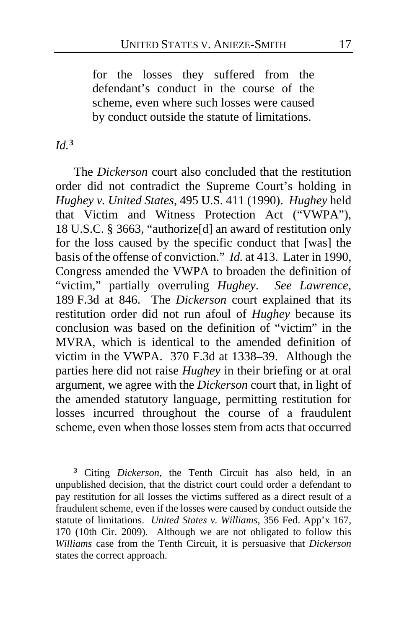for the losses they suffered from the defendant's conduct in the course of the scheme, even where such losses were caused by conduct outside the statute of limitations.

## *Id.***[3](#page-16-0)**

 $\overline{a}$ 

The *Dickerson* court also concluded that the restitution order did not contradict the Supreme Court's holding in *Hughey v. United States*, 495 U.S. 411 (1990). *Hughey* held that Victim and Witness Protection Act ("VWPA"), 18 U.S.C. § 3663, "authorize[d] an award of restitution only for the loss caused by the specific conduct that [was] the basis of the offense of conviction." *Id.* at 413. Later in 1990, Congress amended the VWPA to broaden the definition of "victim," partially overruling *Hughey*. *See Lawrence*, 189 F.3d at 846. The *Dickerson* court explained that its restitution order did not run afoul of *Hughey* because its conclusion was based on the definition of "victim" in the MVRA, which is identical to the amended definition of victim in the VWPA. 370 F.3d at 1338–39. Although the parties here did not raise *Hughey* in their briefing or at oral argument, we agree with the *Dickerson* court that, in light of the amended statutory language, permitting restitution for losses incurred throughout the course of a fraudulent scheme, even when those losses stem from acts that occurred

<span id="page-16-0"></span>**<sup>3</sup>** Citing *Dickerson*, the Tenth Circuit has also held, in an unpublished decision, that the district court could order a defendant to pay restitution for all losses the victims suffered as a direct result of a fraudulent scheme, even if the losses were caused by conduct outside the statute of limitations. *United States v. Williams*, 356 Fed. App'x 167, 170 (10th Cir. 2009). Although we are not obligated to follow this *Williams* case from the Tenth Circuit, it is persuasive that *Dickerson* states the correct approach.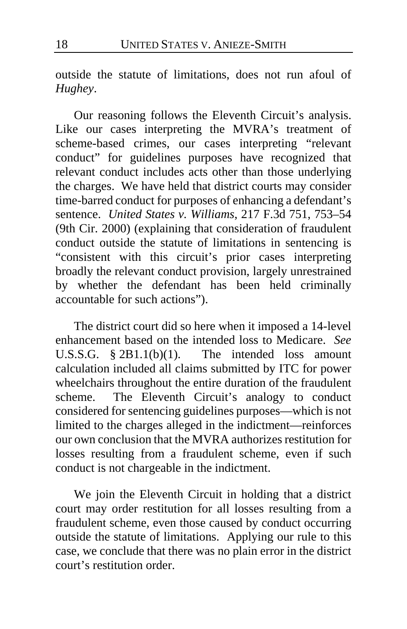outside the statute of limitations, does not run afoul of *Hughey*.

Our reasoning follows the Eleventh Circuit's analysis. Like our cases interpreting the MVRA's treatment of scheme-based crimes, our cases interpreting "relevant conduct" for guidelines purposes have recognized that relevant conduct includes acts other than those underlying the charges. We have held that district courts may consider time-barred conduct for purposes of enhancing a defendant's sentence. *United States v. Williams*, 217 F.3d 751, 753–54 (9th Cir. 2000) (explaining that consideration of fraudulent conduct outside the statute of limitations in sentencing is "consistent with this circuit's prior cases interpreting broadly the relevant conduct provision, largely unrestrained by whether the defendant has been held criminally accountable for such actions").

The district court did so here when it imposed a 14-level enhancement based on the intended loss to Medicare. *See* U.S.S.G. § 2B1.1(b)(1). The intended loss amount calculation included all claims submitted by ITC for power wheelchairs throughout the entire duration of the fraudulent scheme. The Eleventh Circuit's analogy to conduct considered for sentencing guidelines purposes—which is not limited to the charges alleged in the indictment—reinforces our own conclusion that the MVRA authorizes restitution for losses resulting from a fraudulent scheme, even if such conduct is not chargeable in the indictment.

We join the Eleventh Circuit in holding that a district court may order restitution for all losses resulting from a fraudulent scheme, even those caused by conduct occurring outside the statute of limitations. Applying our rule to this case, we conclude that there was no plain error in the district court's restitution order.